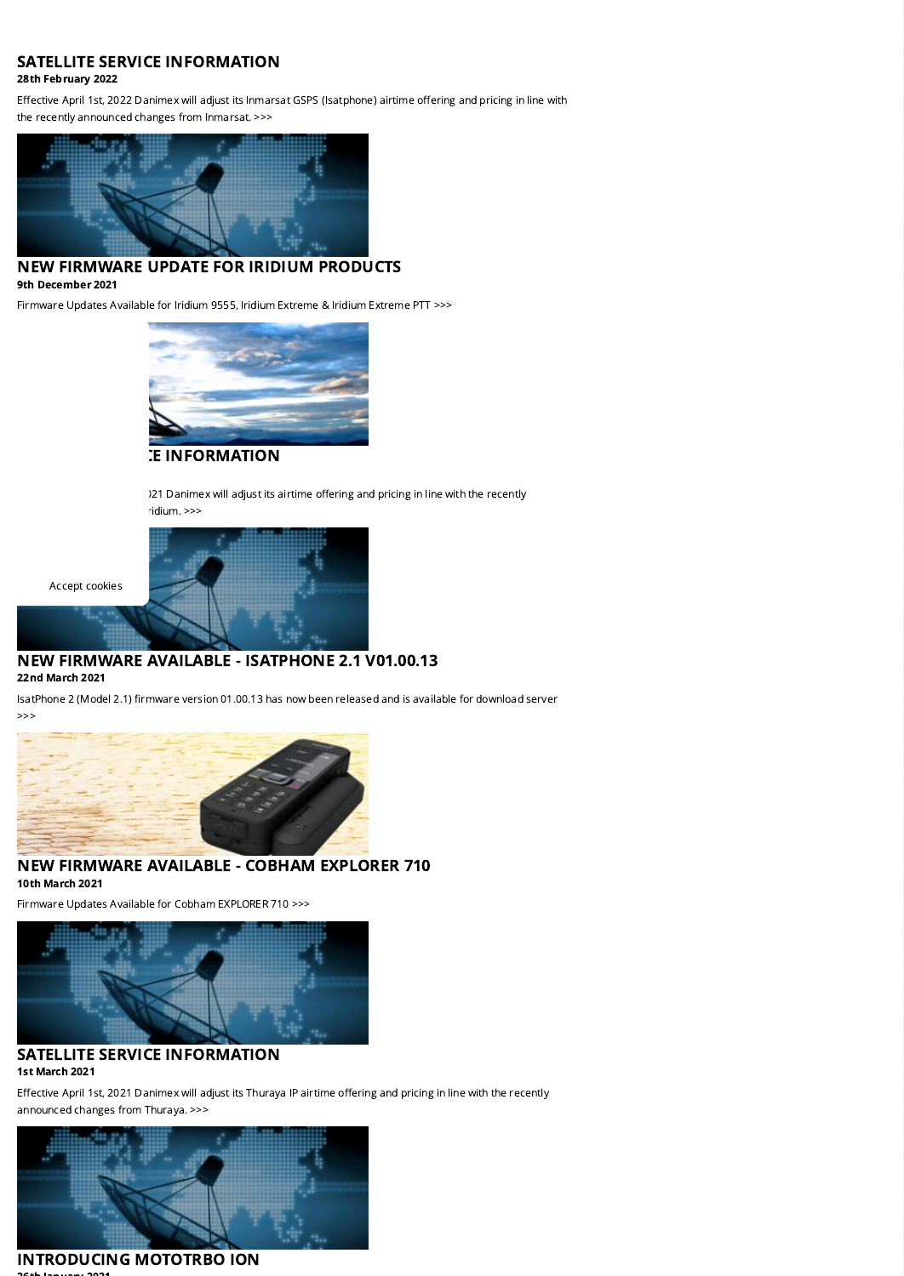## SATELLITE SERVICE INFORMATION

### 28th February 2022

Effective April 1st, 2022 Danimex will adjust its Inmarsat GSPS (Isatphone) airtime offering and pricing in line with the recently announced changes from Inmarsat. >>>



## NEW FIRMWARE UPDATE FOR IRIDIUM PRODUCTS 9th December 2021

Firmware Updates Available for Iridium 9555, Iridium Extreme & Iridium Extreme PTT >>>



**E INFORMATION** 

)21 Danimex will adjust its airtime offering and pricing in line with the recently ridium. >>>



# NEW FIRMWARE AVAILABLE - ISATPHONE 2.1 V01.00.13

22nd March 2021

Accept cookies

IsatPhone 2 (Model 2.1) firmware version 01.00.13 has now been released and is available for download server >>>



NEW FIRMWARE AVAILABLE - COBHAM EXPLORER 710 10th March 2021

Firmware Updates Available for Cobham EXPLORER 710 >>>



### SATELLITE SERVICE INFORMATION 1st March 2021

Effective April 1st, 2021 Danimex will adjust its Thuraya IP airtime offering and pricing in line with the recently announced changes from Thuraya. >>>



### [INTRODUCING](https://danimex.com/news/product-news/satellite-service-information-4?PID=7337&M=NewsV2&Action=1) MOTOTRBO ION 26th January 2021